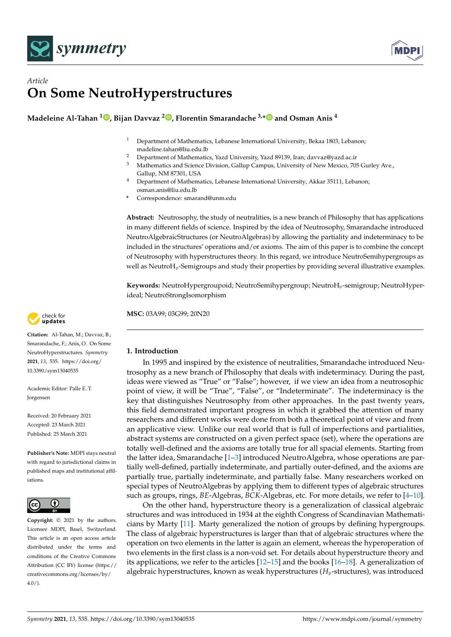



# *Article* **On Some NeutroHyperstructures**

**Madeleine Al-Tahan <sup>1</sup> [,](https://orcid.org/0000-0002-4243-7935) Bijan Davvaz <sup>2</sup> [,](https://orcid.org/0000-0003-1941-5372) Florentin Smarandache 3,[\\*](https://orcid.org/0000-0002-5560-5926) and Osman Anis <sup>4</sup>**

- <sup>1</sup> Department of Mathematics, Lebanese International University, Bekaa 1803, Lebanon; madeline.tahan@liu.edu.lb
- <sup>2</sup> Department of Mathematics, Yazd University, Yazd 89139, Iran; davvaz@yazd.ac.ir<br><sup>3</sup> Mathematics and Science Division, Callum Compus, University of New Mayics, 70
- Mathematics and Science Division, Gallup Campus, University of New Mexico, 705 Gurley Ave., Gallup, NM 87301, USA
- <sup>4</sup> Department of Mathematics, Lebanese International University, Akkar 35111, Lebanon; osman.anis@liu.edu.lb
- **\*** Correspondence: smarand@unm.edu

**Abstract:** Neutrosophy, the study of neutralities, is a new branch of Philosophy that has applications in many different fields of science. Inspired by the idea of Neutrosophy, Smarandache introduced NeutroAlgebraicStructures (or NeutroAlgebras) by allowing the partiality and indeterminacy to be included in the structures' operations and/or axioms. The aim of this paper is to combine the concept of Neutrosophy with hyperstructures theory. In this regard, we introduce NeutroSemihypergroups as well as NeutroH*v*-Semigroups and study their properties by providing several illustrative examples.

**Keywords:** NeutroHypergroupoid; NeutroSemihypergroup; NeutroH*v*-semigroup; NeutroHyperideal; NeutroStrongIsomorphism

**MSC:** 03A99; 03G99; 20N20



**Citation:** Al-Tahan, M.; Davvaz, B.; Smarandache, F.; Anis, O. On Some NeutroHyperstructures. *Symmetry* **2021**, *13*, 535. [https://doi.org/](https://doi.org/10.3390/sym13040535) [10.3390/sym13040535](https://doi.org/10.3390/sym13040535)

Academic Editor: Palle E. T. **Jorgensen** 

Received: 20 February 2021 Accepted: 23 March 2021 Published: 25 March 2021

**Publisher's Note:** MDPI stays neutral with regard to jurisdictional claims in published maps and institutional affiliations.



**Copyright:** © 2021 by the authors. Licensee MDPI, Basel, Switzerland. This article is an open access article distributed under the terms and conditions of the Creative Commons Attribution (CC BY) license (https:/[/](https://creativecommons.org/licenses/by/4.0/) [creativecommons.org/licenses/by/](https://creativecommons.org/licenses/by/4.0/)  $4.0/$ ).

## **1. Introduction**

In 1995 and inspired by the existence of neutralities, Smarandache introduced Neutrosophy as a new branch of Philosophy that deals with indeterminacy. During the past, ideas were viewed as "True" or "False"; however, if we view an idea from a neutrosophic point of view, it will be "True", "False", or "Indeterminate". The indeterminacy is the key that distinguishes Neutrosophy from other approaches. In the past twenty years, this field demonstrated important progress in which it grabbed the attention of many researchers and different works were done from both a theoretical point of view and from an applicative view. Unlike our real world that is full of imperfections and partialities, abstract systems are constructed on a given perfect space (set), where the operations are totally well-defined and the axioms are totally true for all spacial elements. Starting from the latter idea, Smarandache [\[1](#page-11-0)[–3\]](#page-11-1) introduced NeutroAlgebra, whose operations are partially well-defined, partially indeterminate, and partially outer-defined, and the axioms are partially true, partially indeterminate, and partially false. Many researchers worked on special types of NeutroAlgebras by applying them to different types of algebraic structures such as groups, rings, *BE*-Algebras, *BCK*-Algebras, etc. For more details, we refer to [\[4](#page-11-2)[–10\]](#page-11-3).

On the other hand, hyperstructure theory is a generalization of classical algebraic structures and was introduced in 1934 at the eighth Congress of Scandinavian Mathematicians by Marty [\[11\]](#page-11-4). Marty generalized the notion of groups by defining hypergroups. The class of algebraic hyperstructures is larger than that of algebraic structures where the operation on two elements in the latter is again an element, whereas the hyperoperation of two elements in the first class is a non-void set. For details about hyperstructure theory and its applications, we refer to the articles  $[12–15]$  $[12–15]$  and the books  $[16–18]$  $[16–18]$ . A generalization of algebraic hyperstructures, known as weak hyperstructures (*Hv*-structures), was introduced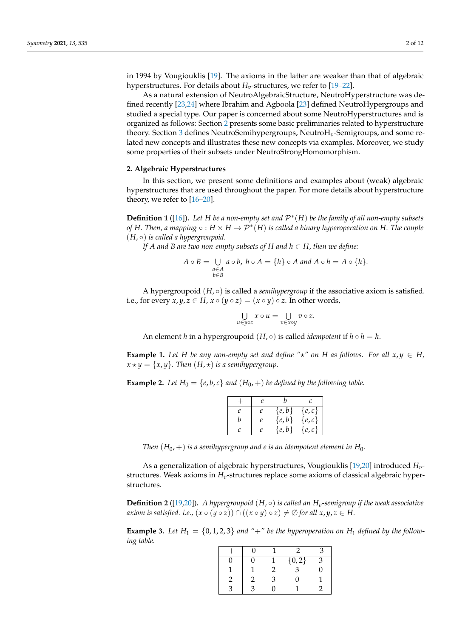in 1994 by Vougiouklis [\[19\]](#page-11-9). The axioms in the latter are weaker than that of algebraic hyperstructures. For details about  $H_v$ -structures, we refer to [\[19–](#page-11-9)[22\]](#page-11-10).

As a natural extension of NeutroAlgebraicStructure, NeutroHyperstructure was defined recently [\[23](#page-11-11)[,24\]](#page-11-12) where Ibrahim and Agboola [\[23\]](#page-11-11) defined NeutroHypergroups and studied a special type. Our paper is concerned about some NeutroHyperstructures and is organized as follows: Section [2](#page-1-0) presents some basic preliminaries related to hyperstructure theory. Section [3](#page-2-0) defines NeutroSemihypergroups, NeutroH*v*-Semigroups, and some related new concepts and illustrates these new concepts via examples. Moreover, we study some properties of their subsets under NeutroStrongHomomorphism.

### <span id="page-1-0"></span>**2. Algebraic Hyperstructures**

In this section, we present some definitions and examples about (weak) algebraic hyperstructures that are used throughout the paper. For more details about hyperstructure theory, we refer to [\[16–](#page-11-7)[20\]](#page-11-13).

**Definition 1** ([\[16\]](#page-11-7))**.** *Let H be a non-empty set and* P ∗ (*H*) *be the family of all non-empty subsets* of H. Then, a mapping  $\circ : H \times H \to \mathcal{P}^*(H)$  is called a binary hyperoperation on H. The couple (*H*, ◦) *is called a hypergroupoid.*

*If A and B are two non-empty subsets of H and*  $h \in H$ *, then we define:* 

$$
A \circ B = \bigcup_{\substack{a \in A \\ b \in B}} a \circ b, \ h \circ A = \{h\} \circ A \text{ and } A \circ h = A \circ \{h\}.
$$

A hypergroupoid  $(H, \circ)$  is called a *semihypergroup* if the associative axiom is satisfied. i.e., for every  $x, y, z \in H$ ,  $x \circ (y \circ z) = (x \circ y) \circ z$ . In other words,

$$
\bigcup_{u\in y\circ z} x\circ u = \bigcup_{v\in x\circ y} v\circ z.
$$

An element *h* in a hypergroupoid  $(H, \circ)$  is called *idempotent* if  $h \circ h = h$ .

**Example 1.** Let *H* be any non-empty set and define " $\star$ " on *H* as follows. For all  $x, y \in H$ ,  $x \star y = \{x, y\}$ . Then  $(H, \star)$  *is a semihypergroup.* 

**Example 2.** Let  $H_0 = \{e, b, c\}$  and  $(H_0, +)$  be defined by the following table.

|               | e                   | h         |           |
|---------------|---------------------|-----------|-----------|
| $\mathcal{P}$ | P.                  | $\{e,b\}$ | $\{e,c\}$ |
|               | $\boldsymbol{\rho}$ | $\{e,b\}$ | $\{e,c\}$ |
| C             | P.                  | $\{e,b\}$ | $\{e,c\}$ |

*Then*  $(H_0, +)$  *is a semihypergroup and e is an idempotent element in*  $H_0$ *.* 

As a generalization of algebraic hyperstructures, Vougiouklis [\[19](#page-11-9)[,20\]](#page-11-13) introduced *Hv*structures. Weak axioms in *Hv*-structures replace some axioms of classical algebraic hyperstructures.

**Definition 2** ([\[19](#page-11-9)[,20\]](#page-11-13)). *A hypergroupoid* (*H*,  $\circ$ ) *is called an*  $H_v$ -semigroup *if the weak associative axiom is satisfied. i.e.,*  $(x \circ (y \circ z)) \cap ((x \circ y) \circ z) \neq \emptyset$  *for all*  $x, y, z \in H$ *.* 

**Example 3.** Let  $H_1 = \{0, 1, 2, 3\}$  and "+" be the hyperoperation on  $H_1$  defined by the follow*ing table.*

|  |  | $\{0, 2\}$ |  |
|--|--|------------|--|
|  |  |            |  |
|  |  |            |  |
|  |  |            |  |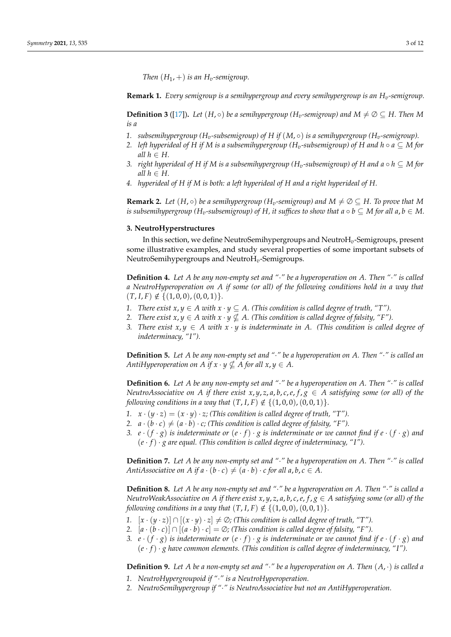*Then*  $(H_1, +)$  *is an*  $H_v$ *-semigroup.* 

**Remark 1.** *Every semigroup is a semihypergroup and every semihypergroup is an Hv-semigroup.*

**Definition 3** ([\[17\]](#page-11-14)). Let  $(H, \circ)$  be a semihypergroup ( $H_v$ -semigroup) and  $M \neq \emptyset \subseteq H$ . Then M *is a*

- 1. *subsemihypergroup* ( $H_v$ -subsemigroup) of H if ( $M$ ,  $\circ$ ) is a semihypergroup ( $H_v$ -semigroup).
- *2. left hyperideal of H if M is a subsemihypergroup (H<sub><i>v*</sub>-subsemigroup) of H and  $h \circ a \subseteq M$  for *all*  $h \in H$ .
- *3. right hyperideal of H if M is a subsemihypergroup (H<sub>v</sub>*-subsemigroup) of *H* and  $a \circ h \subseteq M$  for *all*  $h \in H$ .
- *4. hyperideal of H if M is both: a left hyperideal of H and a right hyperideal of H.*

<span id="page-2-1"></span>**Remark 2.** Let  $(H, \circ)$  be a semihypergroup  $(H_v$ -semigroup) and  $M \neq \emptyset \subseteq H$ . To prove that M *is subsemihypergroup* ( $H_v$ -subsemigroup) of  $H$ , it suffices to show that  $a \circ b \subseteq M$  for all  $a, b \in M$ .

#### <span id="page-2-0"></span>**3. NeutroHyperstructures**

In this section, we define NeutroSemihypergroups and NeutroH*v*-Semigroups, present some illustrative examples, and study several properties of some important subsets of NeutroSemihypergroups and NeutroH*v*-Semigroups.

**Definition 4.** *Let A be any non-empty set and "*·*" be a hyperoperation on A. Then "*·*" is called a NeutroHyperoperation on A if some (or all) of the following conditions hold in a way that*  $(T, I, F) \notin \{(1, 0, 0), (0, 0, 1)\}.$ 

- *1. There exist*  $x, y ∈ A$  *with*  $x ⋅ y ⊆ A$ *. (This condition is called degree of truth, "T").*
- *2. There exist*  $x, y \in A$  with  $x \cdot y \nsubseteq A$ . (This condition is called degree of falsity, "F").
- *3. There exist*  $x, y \in A$  *with*  $x \cdot y$  *is indeterminate in* A. (This condition is called degree of *indeterminacy, "I").*

**Definition 5.** *Let A be any non-empty set and "*·*" be a hyperoperation on A. Then "*·*" is called an AntiHyperoperation on A if*  $x \cdot y \nsubseteq A$  *for all*  $x, y \in A$ .

**Definition 6.** *Let A be any non-empty set and "*·*" be a hyperoperation on A. Then "*·*" is called NeutroAssociative on A if there exist*  $x, y, z, a, b, c, e, f, g \in A$  *satisfying some (or all) of the following conditions in a way that*  $(T, I, F) \notin \{(1, 0, 0), (0, 0, 1)\}.$ 

- *1.*  $x \cdot (y \cdot z) = (x \cdot y) \cdot z$ ; (This condition is called degree of truth, "T").
- *2.*  $a \cdot (b \cdot c) \neq (a \cdot b) \cdot c$ ; (This condition is called degree of falsity, "F").
- *3.*  $e \cdot (f \cdot g)$  *is indeterminate or*  $(e \cdot f) \cdot g$  *is indeterminate or we cannot find if*  $e \cdot (f \cdot g)$  *and* (*e* · *f*) · *g are equal. (This condition is called degree of indeterminacy, "I").*

**Definition 7.** *Let A be any non-empty set and "*·*" be a hyperoperation on A. Then "*·*" is called AntiAssociative on A if a*  $\cdot$  (*b* $\cdot$ *c*)  $\neq$  (*a* $\cdot$ *b*)  $\cdot$ *c* for all *a*, *b*, *c*  $\in$  *A*.

**Definition 8.** *Let A be any non-empty set and "*·*" be a hyperoperation on A. Then "*·*" is called a NeutroWeakAssociative on A if there exist*  $x, y, z, a, b, c, e, f, g \in A$  *satisfying some (or all) of the following conditions in a way that*  $(T, I, F) \notin \{(1, 0, 0), (0, 0, 1)\}.$ 

- *1.*  $[x \cdot (y \cdot z)] \cap [(x \cdot y) \cdot z] \neq \emptyset$ ; (This condition is called degree of truth, "T").
- *2.*  $[a \cdot (b \cdot c)] \cap [(a \cdot b) \cdot c] = \emptyset$ ; (This condition is called degree of falsity, "F").
- *3.*  $e \cdot (f \cdot g)$  *is indeterminate or*  $(e \cdot f) \cdot g$  *is indeterminate or we cannot find if*  $e \cdot (f \cdot g)$  *and* (*e* · *f*) · *g have common elements. (This condition is called degree of indeterminacy, "I").*

**Definition 9.** *Let A be a non-empty set and "*·*" be a hyperoperation on A. Then* (*A*, ·) *is called a*

- *1. NeutroHypergroupoid if "*·*" is a NeutroHyperoperation.*
- *2. NeutroSemihypergroup if "*·*" is NeutroAssociative but not an AntiHyperoperation.*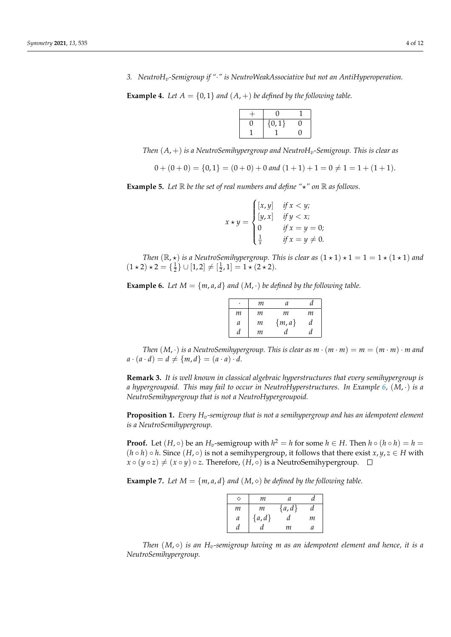*3. NeutroHv-Semigroup if "*·*" is NeutroWeakAssociative but not an AntiHyperoperation.*

<span id="page-3-3"></span>**Example 4.** Let  $A = \{0, 1\}$  and  $(A, +)$  be defined by the following table.

| $\{0,1\}$ |  |
|-----------|--|
|           |  |

*Then* (*A*, +) *is a NeutroSemihypergroup and NeutroHv-Semigroup. This is clear as*

$$
0 + (0 + 0) = \{0, 1\} = (0 + 0) + 0
$$
 and  $(1 + 1) + 1 = 0 \neq 1 = 1 + (1 + 1)$ .

<span id="page-3-2"></span>**Example 5.** Let  $\mathbb R$  be the set of real numbers and define " $\star$ " on  $\mathbb R$  as follows.

 $x \star y =$  $\sqrt{ }$  $\int$  $\overline{\mathcal{L}}$  $[x, y]$  *if*  $x < y$ ;  $[y, x]$  *if*  $y < x$ ; 0 *if*  $x = y = 0$ ;  $\frac{1}{x}$  *if*  $x = y \neq 0$ .

*Then*  $(\mathbb{R}, \star)$  *is a NeutroSemihypergroup. This is clear as*  $(1 \star 1) \star 1 = 1 = 1 \star (1 \star 1)$  *and*  $(1 \star 2) \star 2 = {\frac{1}{2}} \cup [1, 2] \neq [{\frac{1}{2}}, 1] = 1 \star (2 \star 2).$ 

<span id="page-3-0"></span>**Example 6.** Let  $M = \{m, a, d\}$  and  $(M, \cdot)$  be defined by the following table.

|   | m | a       | a |
|---|---|---------|---|
| m | т | т       | m |
| a | m | ${m,a}$ | d |
| d | m | đ.      | ₫ |

*Then*  $(M, \cdot)$  *is a NeutroSemihypergroup. This is clear as*  $m \cdot (m \cdot m) = m = (m \cdot m) \cdot m$  and  $a \cdot (a \cdot d) = d \neq \{m, d\} = (a \cdot a) \cdot d.$ 

**Remark 3.** *It is well known in classical algebraic hyperstructures that every semihypergroup is a hypergroupoid. This may fail to occur in NeutroHyperstructures. In Example [6,](#page-3-0)* (*M*, ·) *is a NeutroSemihypergroup that is not a NeutroHypergroupoid.*

**Proposition 1.** *Every Hv-semigroup that is not a semihypergroup and has an idempotent element is a NeutroSemihypergroup.*

**Proof.** Let  $(H, \circ)$  be an  $H_v$ -semigroup with  $h^2 = h$  for some  $h \in H$ . Then  $h \circ (h \circ h) = h =$  $(h \circ h) \circ h$ . Since  $(H, \circ)$  is not a semihypergroup, it follows that there exist  $x, y, z \in H$  with  $x \circ (y \circ z) \neq (x \circ y) \circ z$ . Therefore,  $(H, \circ)$  is a NeutroSemihypergroup.  $\Box$ 

<span id="page-3-1"></span>**Example 7.** *Let*  $M = \{m, a, d\}$  *and*  $(M, \diamond)$  *be defined by the following table.* 

|   | m       | а       |   |
|---|---------|---------|---|
| m | m       | ${a,d}$ | a |
| a | ${a,d}$ | a       | m |
|   |         | m       | а |

*Then*  $(M, \diamond)$  *is an*  $H_v$ -semigroup having *m* as an idempotent element and hence, it is a *NeutroSemihypergroup.*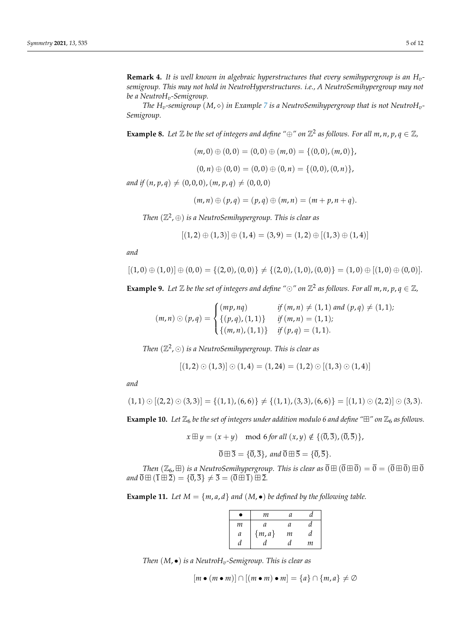**Remark 4.** *It is well known in algebraic hyperstructures that every semihypergroup is an Hvsemigroup. This may not hold in NeutroHyperstructures. i.e., A NeutroSemihypergroup may not be a NeutroHv-Semigroup.*

*The*  $H_v$ -semigroup  $(M, \diamond)$  *in Example* [7](#page-3-1) *is a NeutroSemihypergroup that is not NeutroH<sub>v</sub>*-*Semigroup.*

<span id="page-4-1"></span>**Example 8.** Let  $\mathbb{Z}$  be the set of integers and define " $\oplus$ " on  $\mathbb{Z}^2$  as follows. For all  $m, n, p, q \in \mathbb{Z}$ ,

$$
(m,0) \oplus (0,0) = (0,0) \oplus (m,0) = \{(0,0), (m,0)\},\
$$

$$
(0, n) \oplus (0, 0) = (0, 0) \oplus (0, n) = \{(0, 0), (0, n)\},
$$

*and if*  $(n, p, q) \neq (0, 0, 0)$ ,  $(m, p, q) \neq (0, 0, 0)$ 

$$
(m, n) \oplus (p, q) = (p, q) \oplus (m, n) = (m + p, n + q).
$$

*Then* (Z 2 , ⊕) *is a NeutroSemihypergroup. This is clear as*

$$
[(1,2) \oplus (1,3)] \oplus (1,4) = (3,9) = (1,2) \oplus [(1,3) \oplus (1,4)]
$$

*and*

$$
[(1,0) \oplus (1,0)] \oplus (0,0) = \{(2,0), (0,0)\} \neq \{(2,0), (1,0), (0,0)\} = (1,0) \oplus [(1,0) \oplus (0,0)].
$$

<span id="page-4-2"></span>**Example 9.** Let  $\mathbb{Z}$  be the set of integers and define " $\odot$ " on  $\mathbb{Z}^2$  as follows. For all  $m, n, p, q \in \mathbb{Z}$ ,

$$
(m, n) \odot (p, q) = \begin{cases} (mp, nq) & \text{if } (m, n) \neq (1, 1) \text{ and } (p, q) \neq (1, 1); \\ \{ (p, q), (1, 1) \} & \text{if } (m, n) = (1, 1); \\ \{ (m, n), (1, 1) \} & \text{if } (p, q) = (1, 1). \end{cases}
$$

*Then* (Z 2 , ) *is a NeutroSemihypergroup. This is clear as*

$$
[(1,2)\odot(1,3)]\odot(1,4) = (1,24) = (1,2)\odot[(1,3)\odot(1,4)]
$$

*and*

$$
(1,1)\odot[(2,2)\odot(3,3)]=\{(1,1),(6,6)\}\neq \{(1,1),(3,3),(6,6)\}=[(1,1)\odot(2,2)]\odot(3,3).
$$

**Example 10.** Let  $\mathbb{Z}_6$  be the set of integers under addition modulo 6 and define " $\mathbb{H}$ " on  $\mathbb{Z}_6$  as follows.

$$
x \boxplus y = (x + y) \mod 6 \text{ for all } (x, y) \notin \{(\overline{0}, \overline{3}), (\overline{0}, \overline{5})\},
$$

$$
\overline{0} \boxplus \overline{3} = \{\overline{0}, \overline{3}\}, \text{ and } \overline{0} \boxplus \overline{5} = \{\overline{0}, \overline{5}\}.
$$

*Then*  $(\mathbb{Z}_6, \boxplus)$  *is a NeutroSemihypergroup. This is clear as*  $\overline{0} \boxplus (\overline{0} \boxplus \overline{0}) = \overline{0} = (\overline{0} \boxplus \overline{0}) \boxplus \overline{0}$ *and*  $\overline{0} \boxplus (\overline{1} \boxplus \overline{2}) = {\overline{0}, \overline{3}} \neq \overline{3} = (\overline{0} \boxplus \overline{1}) \boxplus \overline{2}$ .

<span id="page-4-0"></span>**Example 11.** Let  $M = \{m, a, d\}$  and  $(M, \bullet)$  be defined by the following table.

|               | m       | a |   |
|---------------|---------|---|---|
| m             | a       | a | а |
| $\mathfrak a$ | ${m,a}$ | m | a |
|               |         |   | m |

*Then* (*M*, •) *is a NeutroHv-Semigroup. This is clear as*

$$
[m \bullet (m \bullet m)] \cap [(m \bullet m) \bullet m] = \{a\} \cap \{m, a\} \neq \emptyset
$$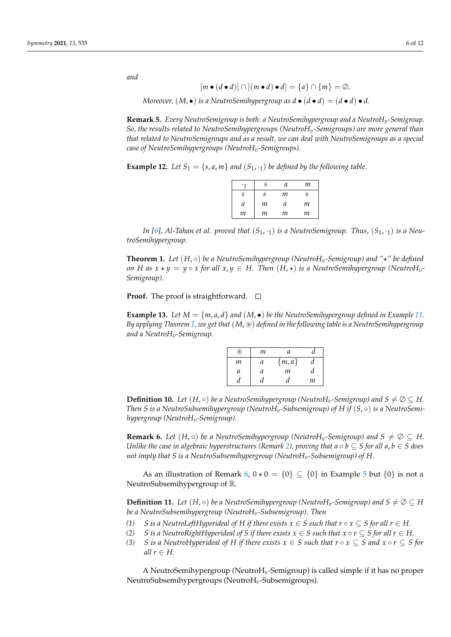*and*

$$
[m \bullet (d \bullet d)] \cap [(m \bullet d) \bullet d] = \{a\} \cap \{m\} = \emptyset.
$$

*Moreover,*  $(M, \bullet)$  *is a NeutroSemihypergroup as*  $d \bullet (d \bullet d) = (d \bullet d) \bullet d$ *.* 

**Remark 5.** *Every NeutroSemigroup is both: a NeutroSemihypergroup and a NeutroHv-Semigroup. So, the results related to NeutroSemihypergroups (NeutroHv-Semigroups) are more general than that related to NeutroSemigroups and as a result, we can deal with NeutroSemigroups as a special case of NeutroSemihypergroups (NeutroHv-Semigroups).*

**Example 12.** Let  $S_1 = \{s, a, m\}$  and  $(S_1, \cdot_1)$  be defined by the following table.

|   | S | а | т |
|---|---|---|---|
| S | S | m | S |
| a | m | a | m |
| m | m | т | m |

In [\[6\]](#page-11-15), Al-Tahan et al. proved that  $(S_1, \cdot_1)$  *is a NeutroSemigroup. Thus,*  $(S_1, \cdot_1)$  *is a NeutroSemihypergroup.*

<span id="page-5-0"></span>**Theorem 1.** Let  $(H, \circ)$  be a NeutroSemihypergroup (NeutroH<sub>v</sub>-Semigroup) and " $\star$ " be defined *on H* as  $x \star y = y \circ x$  *for all*  $x, y \in H$ . Then  $(H, \star)$  *is a NeutroSemihypergroup (NeutroH<sub>v</sub>-Semigroup).*

**Proof.** The proof is straightforward.  $\Box$ 

<span id="page-5-2"></span>**Example 13.** Let  $M = \{m, a, d\}$  and  $(M, \bullet)$  be the NeutroSemihypergroup defined in Example [11.](#page-4-0) *By applying Theorem [1,](#page-5-0) we get that* (*M*, ~) *defined in the following table is a NeutroSemihypergroup and a NeutroHv-Semigroup.*

| ⊛ | m | а       | α  |
|---|---|---------|----|
| m | а | ${m,a}$ | а  |
| a | a | m       | đ. |
|   |   |         | m  |

**Definition 10.** *Let*  $(H, \circ)$  *be a NeutroSemihypergroup (NeutroH<sub>v</sub>-Semigroup) and S*  $\neq \emptyset \subseteq H$ *. Then S is a NeutroSubsemihypergroup (NeutroHv-Subsemigroup) of H if* (*S*, ◦) *is a NeutroSemihypergroup (NeutroHv-Semigroup).*

<span id="page-5-1"></span>**Remark 6.** *Let*  $(H, \circ)$  *be a NeutroSemihypergroup (NeutroH<sub>v</sub>-Semigroup) and*  $S \neq \emptyset \subseteq H$ . *Unlike the case in algebraic hyperstructures (Remark [2\)](#page-2-1), proving that*  $a \circ b \subseteq S$  *for all*  $a, b \in S$  *does not imply that S is a NeutroSubsemihypergroup (NeutroHv-Subsemigroup) of H.*

As an illustration of Remark [6,](#page-5-1)  $0 \star 0 = \{0\} \subseteq \{0\}$  in Example [5](#page-3-2) but  $\{0\}$  is not a NeutroSubsemihypergroup of R.

**Definition 11.** Let  $(H, \circ)$  be a NeutroSemihypergroup (Neutro $H_v$ -Semigroup) and  $S \neq \emptyset \subseteq H$ *be a NeutroSubsemihypergroup (NeutroHv-Subsemigroup). Then*

- *(1) S* is a NeutroLeftHyperideal of H if there exists  $x \in S$  such that  $r \circ x \subseteq S$  for all  $r \in H$ .
- *(2) S* is a NeutroRightHyperideal of S if there exists  $x \in S$  such that  $x \circ r \subseteq S$  for all  $r \in H$ .
- *(3) S is a NeutroHyperideal of H if there exists*  $x \in S$  *such that*  $r \circ x \subseteq S$  *and*  $x \circ r \subseteq S$  *for all*  $r \in H$ .

A NeutroSemihypergroup (NeutroH*v*-Semigroup) is called simple if it has no proper NeutroSubsemihypergroups (NeutroH*v*-Subsemigroups).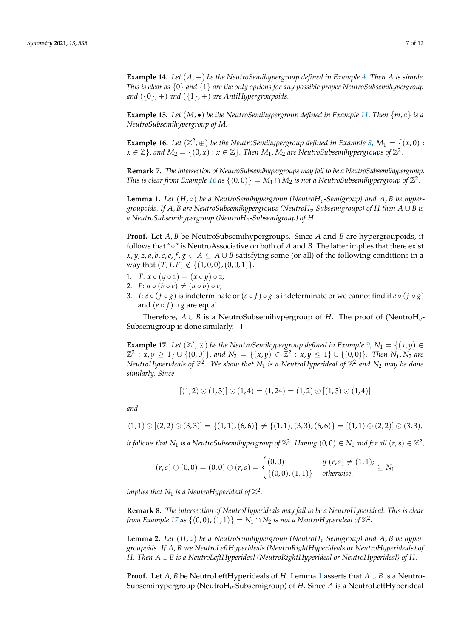**Example 14.** *Let* (*A*, +) *be the NeutroSemihypergroup defined in Example [4.](#page-3-3) Then A is simple. This is clear as* {0} *and* {1} *are the only options for any possible proper NeutroSubsemihypergroup and*  $({0}, +)$  *and*  $({1}, +)$  *are AntiHypergroupoids.* 

<span id="page-6-3"></span>**Example 15.** Let  $(M, \bullet)$  be the NeutroSemihypergroup defined in Example [11.](#page-4-0) Then  $\{m, a\}$  is a *NeutroSubsemihypergroup of M.*

<span id="page-6-0"></span>**Example 16.** Let  $(\mathbb{Z}^2, \oplus)$  be the NeutroSemihypergroup defined in Example [8,](#page-4-1)  $M_1 = \{(x, 0) :$  $x\in\mathbb{Z} \}$  , and  $M_2=\{(0,x): x\in\mathbb{Z}\}$  . Then  $M_1$  ,  $M_2$  are NeutroSubsemihypergroups of  $\mathbb{Z}^2$ .

**Remark 7.** *The intersection of NeutroSubsemihypergroups may fail to be a NeutroSubsemihypergroup. This is clear from Example* [16](#page-6-0) *as*  $\{(0,0)\} = M_1 \cap M_2$  *is not a NeutroSubsemihypergroup of*  $\mathbb{Z}^2$ *.* 

<span id="page-6-2"></span>**Lemma 1.** *Let* (*H*, ◦) *be a NeutroSemihypergroup (NeutroHv-Semigroup) and A*, *B be hypergroupoids. If A*, *B are NeutroSubsemihypergroups (NeutroHv-Subsemigroups) of H then A* ∪ *B is a NeutroSubsemihypergroup (NeutroHv-Subsemigroup) of H.*

**Proof.** Let *A*, *B* be NeutroSubsemihypergroups. Since *A* and *B* are hypergroupoids, it follows that "◦" is NeutroAssociative on both of *A* and *B*. The latter implies that there exist *x*, *y*, *z*, *a*, *b*, *c*, *e*, *f*, *g* ∈ *A* ⊆ *A* ∪ *B* satisfying some (or all) of the following conditions in a way that  $(T, I, F) \notin \{(1, 0, 0), (0, 0, 1)\}.$ 

- 1.  $T: x \circ (y \circ z) = (x \circ y) \circ z;$
- 2.  $F: a \circ (b \circ c) \neq (a \circ b) \circ c;$
- 3. *I*:  $e \circ (f \circ g)$  is indeterminate or  $(e \circ f) \circ g$  is indeterminate or we cannot find if  $e \circ (f \circ g)$ and  $(e \circ f) \circ g$  are equal.

Therefore, *A* ∪ *B* is a NeutroSubsemihypergroup of *H*. The proof of (NeutroH*v*-Subsemigroup is done similarly.  $\square$ 

<span id="page-6-1"></span>**Example 17.** Let  $(\mathbb{Z}^2, \odot)$  be the NeutroSemihypergroup defined in Example [9,](#page-4-2)  $N_1 = \{(x, y) \in$  $\mathbb{Z}^2$  :  $x, y \ge 1$  }  $\cup$  {(0,0)}, and  $N_2 = \{(x, y) \in \mathbb{Z}^2 : x, y \le 1$  }  $\cup$  {(0,0)}. Then  $N_1, N_2$  are NeutroHyperideals of  $\mathbb{Z}^2$ . We show that  $N_1$  is a NeutroHyperideal of  $\mathbb{Z}^2$  and  $N_2$  may be done *similarly. Since*

$$
[(1,2) \odot (1,3)] \odot (1,4) = (1,24) = (1,2) \odot [(1,3) \odot (1,4)]
$$

*and*

$$
(1,1)\odot[(2,2)\odot(3,3)]=\{(1,1),(6,6)\}\neq\{(1,1),(3,3),(6,6)\}=[(1,1)\odot(2,2)]\odot(3,3),
$$

it follows that  $N_1$  is a NeutroSubsemihypergroup of  $\mathbb{Z}^2$ . Having  $(0,0) \in N_1$  and for all  $(r,s) \in \mathbb{Z}^2$ ,

$$
(r,s) \odot (0,0) = (0,0) \odot (r,s) = \begin{cases} (0,0) & \text{if } (r,s) \neq (1,1); \\ \{(0,0), (1,1)\} & \text{otherwise.} \end{cases}
$$

implies that  $N_1$  is a NeutroHyperideal of  $\mathbb{Z}^2$ .

**Remark 8.** *The intersection of NeutroHyperideals may fail to be a NeutroHyperideal. This is clear from Example [17](#page-6-1) as*  $\{(0,0),(1,1)\} = N_1 \cap N_2$  *is not a NeutroHyperideal of*  $\mathbb{Z}^2$ *.* 

**Lemma 2.** *Let* (*H*, ◦) *be a NeutroSemihypergroup (NeutroHv-Semigroup) and A*, *B be hypergroupoids. If A*, *B are NeutroLeftHyperideals (NeutroRightHyperideals or NeutroHyperideals) of H. Then A* ∪ *B is a NeutroLeftHyperideal (NeutroRightHyperideal or NeutroHyperideal) of H.*

**Proof.** Let *A*, *B* be NeutroLeftHyperideals of *H*. Lemma [1](#page-6-2) asserts that *A* ∪ *B* is a Neutro-Subsemihypergroup (NeutroH*v*-Subsemigroup) of *H*. Since *A* is a NeutroLeftHyperideal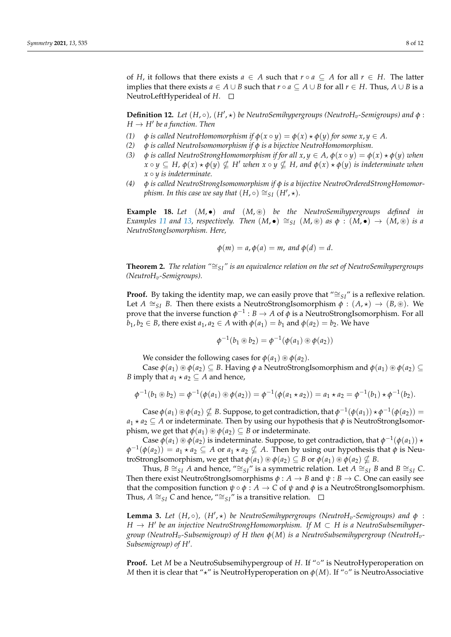of *H*, it follows that there exists  $a \in A$  such that  $r \circ a \subseteq A$  for all  $r \in H$ . The latter implies that there exists  $a \in A \cup B$  such that  $r \circ a \subseteq A \cup B$  for all  $r \in H$ . Thus,  $A \cup B$  is a NeutroLeftHyperideal of *H*.

**Definition 12.** *Let* (*H*, ◦), (*H'*, ∗) *be NeutroSemihypergroups (NeutroH<sub><i>v*</sub></sub>-Semigroups) and</sub>  $φ$ :  $H \to H'$  be a function. Then

- *(1)*  $\phi$  *is called NeutroHomomorphism if*  $\phi(x \circ y) = \phi(x) \star \phi(y)$  *for some x, y*  $\in$  *A.*
- *(2) φ is called NeutroIsomomorphism if φ is a bijective NeutroHomomorphism.*
- (3) *φ is called NeutroStrongHomomorphism if for all*  $x, y \in A$ ,  $\phi(x \circ y) = \phi(x) \star \phi(y)$  when  $x \circ y \subseteq H$ ,  $\phi(x) \star \phi(y) \nsubseteq H'$  when  $x \circ y \nsubseteq H$ , and  $\phi(x) \star \phi(y)$  is indeterminate when  $x \circ y$  *is indeterminate.*
- *(4) φ is called NeutroStrongIsomomorphism if φ is a bijective NeutroOrderedStrongHomomorphism. In this case we say that*  $(H, \circ) \cong_{SI} (H', \star)$ *.*

<span id="page-7-0"></span>**Example 18.** *Let* (*M*, •) *and* (*M*, ~) *be the NeutroSemihypergroups defined in Examples* [11](#page-4-0) *and* [13,](#page-5-2) *respectively.* Then  $(M, \bullet) \cong_{SI} (M, \circledast)$  *as*  $\phi : (M, \bullet) \to (M, \circledast)$  *is a NeutroStongIsomorphism. Here,*

$$
\phi(m) = a, \phi(a) = m, \text{ and } \phi(d) = d.
$$

<span id="page-7-2"></span>**Theorem 2.** *The relation "*∼=*SI" is an equivalence relation on the set of NeutroSemihypergroups (NeutroHv-Semigroups).*

**Proof.** By taking the identity map, we can easily prove that " $\cong$ <sub>SI</sub>" is a reflexive relation. Let  $A \cong_{SI} B$ . Then there exists a NeutroStrongIsomorphism  $\phi : (A, \star) \to (B, \circledast)$ . We prove that the inverse function  $\phi^{-1}: B \to A$  of  $\phi$  is a NeutroStrongIsomorphism. For all  $b_1, b_2 \in B$ , there exist  $a_1, a_2 \in A$  with  $\phi(a_1) = b_1$  and  $\phi(a_2) = b_2$ . We have

$$
\phi^{-1}(b_1\circledast b_2)=\phi^{-1}(\phi(a_1)\circledast\phi(a_2))
$$

We consider the following cases for  $\phi(a_1) \otimes \phi(a_2)$ .

Case  $\phi(a_1) \otimes \phi(a_2) \subseteq B$ . Having  $\phi$  a NeutroStrongIsomorphism and  $\phi(a_1) \otimes \phi(a_2) \subseteq$ *B* imply that  $a_1 \star a_2 \subseteq A$  and hence,

$$
\phi^{-1}(b_1 \circledast b_2) = \phi^{-1}(\phi(a_1) \circledast \phi(a_2)) = \phi^{-1}(\phi(a_1 \star a_2)) = a_1 \star a_2 = \phi^{-1}(b_1) \star \phi^{-1}(b_2).
$$

 $\text{Case } \phi(a_1) \circledast \phi(a_2) \nsubseteq B$ . Suppose, to get contradiction, that  $\phi^{-1}(\phi(a_1)) \star \phi^{-1}(\phi(a_2)) =$  $a_1 \star a_2 \subseteq A$  or indeterminate. Then by using our hypothesis that  $\phi$  is NeutroStrongIsomorphism, we get that  $\phi(a_1) \otimes \phi(a_2) \subseteq B$  or indeterminate.

Case  $\phi(a_1) \circledast \phi(a_2)$  is indeterminate. Suppose, to get contradiction, that  $\phi^{-1}(\phi(a_1)) \star$  $\varphi^{-1}(\varphi(a_2)) = a_1 \star a_2 \subseteq A$  or  $a_1 \star a_2 \nsubseteq A$ . Then by using our hypothesis that  $\varphi$  is NeutroStrongIsomorphism, we get that  $\phi(a_1) \otimes \phi(a_2) \subseteq B$  or  $\phi(a_1) \otimes \phi(a_2) \nsubseteq B$ .

Thus, *B*  $\cong$ <sub>*SI</sub> A* and hence, " $\cong$ <sub>SI</sub>" is a symmetric relation. Let  $A \cong$ <sub>SI</sub> *B* and  $B \cong$ <sub>SI</sub> *C*.</sub> Then there exist NeutroStrongIsomorphisms  $\phi : A \rightarrow B$  and  $\psi : B \rightarrow C$ . One can easily see that the composition function  $\psi \circ \phi : A \to C$  of  $\psi$  and  $\phi$  is a NeutroStrongIsomorphism. Thus, *A*  $\cong$ <sub>SI</sub> *C* and hence, " $\cong$ <sub>SI</sub>" is a transitive relation.  $\Box$ 

<span id="page-7-1"></span>**Lemma 3.** Let  $(H, \circ)$ ,  $(H', \star)$  be NeutroSemihypergroups (NeutroH<sub>v</sub>-Semigroups) and  $\phi$ : *H* → *H'* be an injective NeutroStrongHomomorphism. If  $M \subset H$  is a NeutroSubsemihyper*group (NeutroHv-Subsemigroup) of H then φ*(*M*) *is a NeutroSubsemihypergroup (NeutroHv-*Subsemigroup) of H'.

**Proof.** Let *M* be a NeutroSubsemihypergroup of *H*. If "◦" is NeutroHyperoperation on *M* then it is clear that " $\star$ " is NeutroHyperoperation on  $\phi(M)$ . If "∘" is NeutroAssociative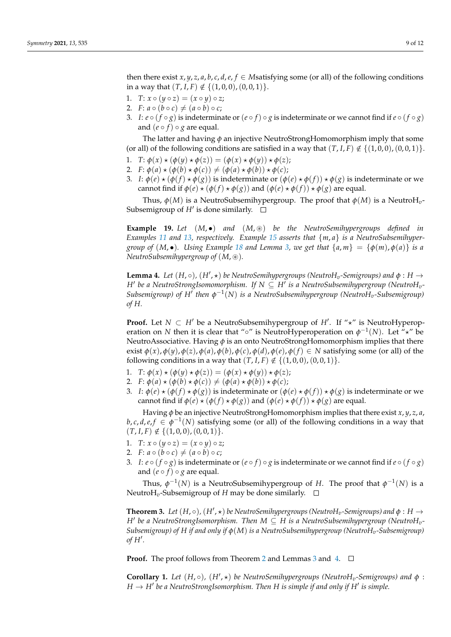then there exist  $x$ ,  $y$ ,  $z$ ,  $a$ ,  $b$ ,  $c$ ,  $d$ ,  $e$ ,  $f \in M$ satisfying some (or all) of the following conditions in a way that  $(T, I, F) \notin \{(1, 0, 0), (0, 0, 1)\}.$ 

- 1.  $T: x \circ (y \circ z) = (x \circ y) \circ z;$
- 2.  $F: a \circ (b \circ c) \neq (a \circ b) \circ c;$
- 3. *I*:  $e \circ (f \circ g)$  is indeterminate or  $(e \circ f) \circ g$  is indeterminate or we cannot find if  $e \circ (f \circ g)$ and  $(e \circ f) \circ g$  are equal.

The latter and having *φ* an injective NeutroStrongHomomorphism imply that some (or all) of the following conditions are satisfied in a way that  $(T, I, F) \notin \{(1, 0, 0), (0, 0, 1)\}.$ 

- 1. *T*:  $\phi(x) \star (\phi(y) \star \phi(z)) = (\phi(x) \star \phi(y)) \star \phi(z);$
- 2. *F*:  $\phi(a) \star (\phi(b) \star \phi(c)) \neq (\phi(a) \star \phi(b)) \star \phi(c);$
- 3. *I*:  $\phi(e) \star (\phi(f) \star \phi(g))$  is indeterminate or  $(\phi(e) \star \phi(f)) \star \phi(g)$  is indeterminate or we cannot find if  $\phi(e) \star (\phi(f) \star \phi(g))$  and  $(\phi(e) \star \phi(f)) \star \phi(g)$  are equal.

Thus,  $\phi(M)$  is a NeutroSubsemihypergroup. The proof that  $\phi(M)$  is a NeutroH<sub>v</sub>-Subsemigroup of H' is done similarly.

**Example 19.** *Let* (*M*, •) *and* (*M*, ~) *be the NeutroSemihypergroups defined in Examples [11](#page-4-0) and [13,](#page-5-2) respectively. Example [15](#page-6-3) asserts that* {*m*, *a*} *is a NeutroSubsemihypergroup of*  $(M, \bullet)$ *. Using Example* [18](#page-7-0) *and Lemma* [3,](#page-7-1) *we get that*  $\{a, m\} = \{\phi(m), \phi(a)\}\$ is a *NeutroSubsemihypergroup of*  $(M, \mathcal{B})$ *.* 

<span id="page-8-0"></span>**Lemma 4.** Let  $(H, \circ)$ ,  $(H', \star)$  be NeutroSemihypergroups (NeutroH<sub>v</sub>-Semigroups) and  $\phi : H \to$ *H' be a NeutroStrongIsomomorphism. If*  $N \subseteq H'$  *is a NeutroSubsemihypergroup (NeutroH<sub>v</sub>-Subsemigroup*) of  $H^{\prime}$  then  $\phi^{-1}(N)$  is a NeutroSubsemihypergroup (NeutroH<sub>v</sub>-Subsemigroup) *of H.*

**Proof.** Let  $N \subset H'$  be a NeutroSubsemihypergroup of  $H'$ . If " $\star$ " is NeutroHyperoperation on *N* then it is clear that "∘" is NeutroHyperoperation on  $\phi^{-1}(N)$ . Let " $\star$ " be NeutroAssociative. Having *φ* is an onto NeutroStrongHomomorphism implies that there exist  $\phi(x)$ ,  $\phi(y)$ ,  $\phi(z)$ ,  $\phi(a)$ ,  $\phi(b)$ ,  $\phi(c)$ ,  $\phi(d)$ ,  $\phi(e)$ ,  $\phi(f) \in N$  satisfying some (or all) of the following conditions in a way that  $(T, I, F) \notin \{(1, 0, 0), (0, 0, 1)\}.$ 

- 1. *T*:  $\phi(x) \star (\phi(y) \star \phi(z)) = (\phi(x) \star \phi(y)) \star \phi(z);$
- 2. *F*:  $\phi(a) \star (\phi(b) \star \phi(c)) \neq (\phi(a) \star \phi(b)) \star \phi(c);$
- *3. I*:  $\phi$ (*e*)  $\star$  ( $\phi$ (*f*)  $\star$   $\phi$ (*g*)) is indeterminate or ( $\phi$ (*e*)  $\star$   $\phi$ (*f*))  $\star$   $\phi$ (*g*) is indeterminate or we cannot find if  $\phi(e) \star (\phi(f) \star \phi(g))$  and  $(\phi(e) \star \phi(f)) \star \phi(g)$  are equal.

Having *φ* be an injective NeutroStrongHomomorphism implies that there exist *x*, *y*, *z*, *a*, *b*, *c*, *d*, *e*, *f*  $\in \varphi^{-1}(N)$  satisfying some (or all) of the following conditions in a way that  $(T, I, F) \notin \{(1, 0, 0), (0, 0, 1)\}.$ 

- 1.  $T: x \circ (y \circ z) = (x \circ y) \circ z;$
- 2.  $F: a \circ (b \circ c) \neq (a \circ b) \circ c;$
- 3. *I*:  $e \circ (f \circ g)$  is indeterminate or  $(e \circ f) \circ g$  is indeterminate or we cannot find if  $e \circ (f \circ g)$ and  $(e \circ f) \circ g$  are equal.

Thus,  $\phi^{-1}(N)$  is a NeutroSubsemihypergroup of *H*. The proof that  $\phi^{-1}(N)$  is a NeutroH<sub>*v*</sub>-Subsemigroup of *H* may be done similarly.  $\square$ 

<span id="page-8-1"></span>**Theorem 3.** Let  $(H, \circ)$ ,  $(H', \star)$  be NeutroSemihypergroups (NeutroH<sub>v</sub>-Semigroups) and  $\phi : H \to$  $H'$  be a NeutroStrongIsomorphism. Then  $M \subseteq H$  is a NeutroSubsemihypergroup (Neutro $H_v$ -*Subsemigroup) of H if and only if φ*(*M*) *is a NeutroSubsemihypergroup (NeutroHv-Subsemigroup)*  $of H'.$ 

**Proof.** The proof follows from Theorem [2](#page-7-2) and Lemmas [3](#page-7-1) and [4.](#page-8-0)  $\Box$ 

**Corollary 1.** Let  $(H, \circ)$ ,  $(H', \star)$  be NeutroSemihypergroups (NeutroH<sub>v</sub>-Semigroups) and  $\phi$ :  $H \to H'$  be a NeutroStrongIsomorphism. Then  $H$  is simple if and only if  $H'$  is simple.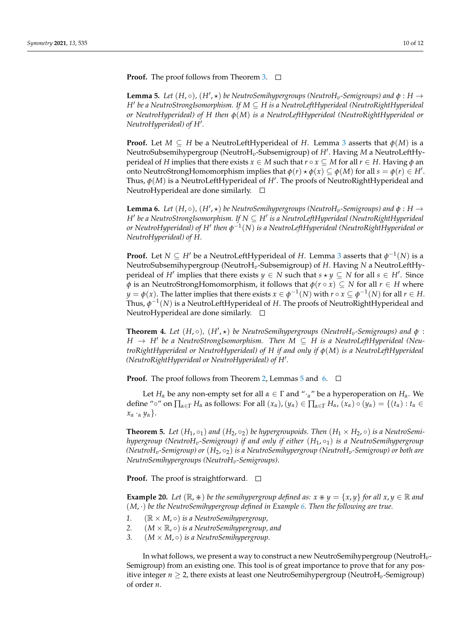**Proof.** The proof follows from Theorem [3.](#page-8-1) □

<span id="page-9-0"></span>**Lemma 5.** Let  $(H, \circ)$ ,  $(H', \star)$  be NeutroSemihypergroups (NeutroH<sub>v</sub>-Semigroups) and  $\phi : H \to$ *H*0 *be a NeutroStrongIsomorphism. If M* ⊆ *H is a NeutroLeftHyperideal (NeutroRightHyperideal or NeutroHyperideal) of H then φ*(*M*) *is a NeutroLeftHyperideal (NeutroRightHyperideal or* NeutroHyperideal) of H'.

**Proof.** Let  $M \subseteq H$  be a NeutroLeftHyperideal of *H*. Lemma [3](#page-7-1) asserts that  $\phi(M)$  is a NeutroSubsemihypergroup (NeutroH*v*-Subsemigroup) of *H*<sup>0</sup> . Having *M* a NeutroLeftHyperideal of *H* implies that there exists  $x \in M$  such that  $r \circ x \subseteq M$  for all  $r \in H$ . Having  $\phi$  an onto NeutroStrongHomomorphism implies that  $\phi(r) \star \phi(x) \subseteq \phi(M)$  for all  $s = \phi(r) \in H'.$ Thus, *φ*(*M*) is a NeutroLeftHyperideal of *H*<sup>0</sup> . The proofs of NeutroRightHyperideal and NeutroHyperideal are done similarly.  $\square$ 

<span id="page-9-1"></span>**Lemma 6.** *Let*  $(H, \circ)$ *,*  $(H', \star)$  *be NeutroSemihypergroups* (NeutroH<sub>v</sub>-Semigroups) and  $\phi : H \to$ *H' be a NeutroStrongIsomorphism. If N* ⊆ *H' is a NeutroLeftHyperideal (NeutroRightHyperideal* or NeutroHyperideal) of H' then φ $^{-1}(N)$  is a NeutroLeftHyperideal (NeutroRightHyperideal or *NeutroHyperideal) of H.*

**Proof.** Let  $N \subseteq H'$  be a NeutroLeftHyperideal of *H*. Lemma [3](#page-7-1) asserts that  $\phi^{-1}(N)$  is a NeutroSubsemihypergroup (NeutroH*v*-Subsemigroup) of *H*. Having *N* a NeutroLeftHyperideal of *H'* implies that there exists  $y \in N$  such that  $s \star y \subseteq N$  for all  $s \in H'$ . Since *φ* is an NeutroStrongHomomorphism, it follows that  $\phi(r \circ x) \subseteq N$  for all  $r \in H$  where  $y = \phi(x)$ . The latter implies that there exists  $x \in \phi^{-1}(N)$  with  $r \circ x \subseteq \phi^{-1}(N)$  for all  $r \in H$ . Thus, *φ* −1 (*N*) is a NeutroLeftHyperideal of *H*. The proofs of NeutroRightHyperideal and NeutroHyperideal are done similarly.  $\square$ 

**Theorem 4.** Let  $(H, \circ)$ ,  $(H', \star)$  be NeutroSemihypergroups (NeutroH<sub>v</sub>-Semigroups) and  $\phi$ : *H* → *H*<sup>0</sup> *be a NeutroStrongIsomorphism. Then M* ⊆ *H is a NeutroLeftHyperideal (NeutroRightHyperideal or NeutroHyperideal) of H if and only if φ*(*M*) *is a NeutroLeftHyperideal* (NeutroRightHyperideal or NeutroHyperideal) of H'.

**Proof.** The proof follows from Theorem [2,](#page-7-2) Lemmas [5](#page-9-0) and [6.](#page-9-1)  $\Box$ 

Let  $H_\alpha$  be any non-empty set for all  $\alpha \in \Gamma$  and " $\cdot_\alpha$ " be a hyperoperation on  $H_\alpha$ . We define " $\circ$ " on  $\prod_{\alpha \in \Gamma} H_{\alpha}$  as follows: For all  $(x_{\alpha})$ ,  $(y_{\alpha}) \in \prod_{\alpha \in \Gamma} H_{\alpha}$ ,  $(x_{\alpha}) \circ (y_{\alpha}) = \{(t_{\alpha}) : t_{\alpha} \in$ *x<sup>α</sup>* ·*<sup>α</sup> yα*}.

**Theorem 5.** Let  $(H_1, \circ_1)$  and  $(H_2, \circ_2)$  be hypergroupoids. Then  $(H_1 \times H_2, \circ)$  is a NeutroSemi*hypergroup (NeutroHv-Semigroup) if and only if either* (*H*1, ◦1) *is a NeutroSemihypergroup (NeutroHv-Semigroup) or* (*H*2, ◦2) *is a NeutroSemihypergroup (NeutroHv-Semigroup) or both are NeutroSemihypergroups (NeutroHv-Semigroups).*

**Proof.** The proof is straightforward.  $\Box$ 

**Example 20.** *Let*  $(\mathbb{R}, \ast)$  *be the semihypergroup defined as:*  $x \ast y = \{x, y\}$  *for all*  $x, y \in \mathbb{R}$  *and* (*M*, ·) *be the NeutroSemihypergroup defined in Example [6.](#page-3-0) Then the following are true.*

- 1.  $(\mathbb{R} \times M, \circ)$  *is a NeutroSemihypergroup.*
- 2.  $(M \times \mathbb{R}, \circ)$  *is a NeutroSemihypergroup, and*
- *3.* (*M* × *M*, ◦) *is a NeutroSemihypergroup.*

In what follows, we present a way to construct a new NeutroSemihypergroup (NeutroH*v*-Semigroup) from an existing one. This tool is of great importance to prove that for any positive integer  $n \geq 2$ , there exists at least one NeutroSemihypergroup (NeutroH<sub>*v*</sub>-Semigroup) of order *n*.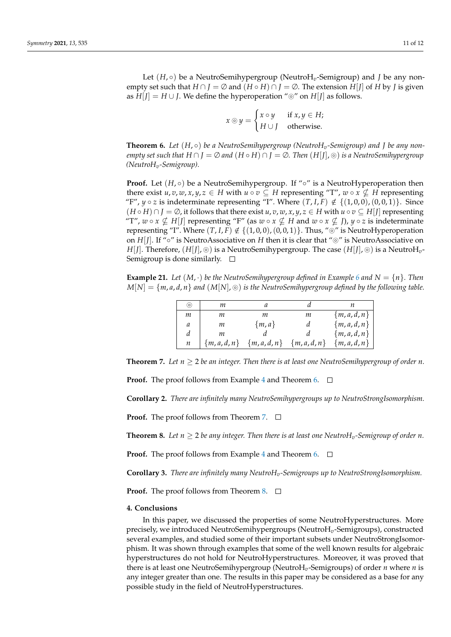$$
x \circledcirc y = \begin{cases} x \circ y & \text{if } x, y \in H; \\ H \cup J & \text{otherwise.} \end{cases}
$$

<span id="page-10-0"></span>**Theorem 6.** Let  $(H, \circ)$  be a NeutroSemihypergroup (NeutroH<sub>v</sub>-Semigroup) and *J* be any non*empty set such that*  $H \cap J = \emptyset$  *and*  $(H \circ H) \cap J = \emptyset$ . Then  $(H[J], \odot)$  *is a NeutroSemihypergroup (NeutroHv-Semigroup).*

**Proof.** Let  $(H, \circ)$  be a NeutroSemihypergroup. If " $\circ$ " is a NeutroHyperoperation then there exist  $u, v, w, x, y, z \in H$  with  $u \circ v \subseteq H$  representing "T",  $w \circ x \not\subseteq H$  representing "F",  $y \circ z$  is indeterminate representing "I". Where  $(T, I, F) \notin \{(1, 0, 0), (0, 0, 1)\}$ . Since  $(H \circ H) \cap I = \emptyset$ , it follows that there exist *u*, *v*, *w*, *x*, *y*, *z*  $\in$  *H* with  $u \circ v \subseteq H[I]$  representing "T",  $w \circ x \nsubseteq H[J]$  representing "F" (as  $w \circ x \nsubseteq H$  and  $w \circ x \nsubseteq J$ ),  $y \circ z$  is indeterminate representing "I". Where  $(T, I, F) \notin \{(1, 0, 0), (0, 0, 1)\}\.$  Thus, " $\odot$ " is NeutroHyperoperation on  $H[f]$ . If " $\circ$ " is NeutroAssociative on *H* then it is clear that " $\circ$ " is NeutroAssociative on *H*[*J*]. Therefore, (*H*[*J*],  $\circledcirc$ ) is a NeutroSemihypergroup. The case (*H*[*J*],  $\circledcirc$ ) is a NeutroH<sub>*v*</sub>-Semigroup is done similarly.  $\square$ 

**Example 21.** Let  $(M, \cdot)$  be the NeutroSemihypergroup defined in Example [6](#page-3-0) and  $N = \{n\}$ . Then  $M[N] = \{m, a, d, n\}$  *and*  $(M[N], \circledcirc)$  *is the NeutroSemihypergroup defined by the following table.* 

| (o) | т                |               |             |               |
|-----|------------------|---------------|-------------|---------------|
| т   | т                | m             | т           | $\{m,a,d,n\}$ |
| а   | т                | $\{m,a\}$     | a           | ${m,a,d,n}$   |
| d   | т                |               |             | ${m,a,d,n}$   |
| п   | $\{m, a, d, n\}$ | $\{m,a,d,n\}$ | ${m,a,d,n}$ | $\{m,a,d,n\}$ |

<span id="page-10-1"></span>**Theorem 7.** Let  $n \geq 2$  be an integer. Then there is at least one NeutroSemihypergroup of order *n*.

**Proof.** The proof follows from Example [4](#page-3-3) and Theorem [6.](#page-10-0)  $\Box$ 

**Corollary 2.** *There are infinitely many NeutroSemihypergroups up to NeutroStrongIsomorphism.*

**Proof.** The proof follows from Theorem [7.](#page-10-1) □

<span id="page-10-2"></span>**Theorem 8.** Let  $n \geq 2$  be any integer. Then there is at least one NeutroH<sub>v</sub>-Semigroup of order n.

**Proof.** The proof follows from Example [4](#page-3-3) and Theorem [6.](#page-10-0)  $\Box$ 

**Corollary 3.** *There are infinitely many NeutroHv-Semigroups up to NeutroStrongIsomorphism.*

**Proof.** The proof follows from Theorem [8.](#page-10-2) □

#### **4. Conclusions**

In this paper, we discussed the properties of some NeutroHyperstructures. More precisely, we introduced NeutroSemihypergroups (NeutroH*v*-Semigroups), constructed several examples, and studied some of their important subsets under NeutroStrongIsomorphism. It was shown through examples that some of the well known results for algebraic hyperstructures do not hold for NeutroHyperstructures. Moreover, it was proved that there is at least one NeutroSemihypergroup (NeutroH*v*-Semigroups) of order *n* where *n* is any integer greater than one. The results in this paper may be considered as a base for any possible study in the field of NeutroHyperstructures.